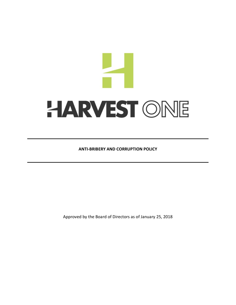# $\frac{1}{\sqrt{2}}$ HARVEST ONE

**ANTI-BRIBERY AND CORRUPTION POLICY**

Approved by the Board of Directors as of January 25, 2018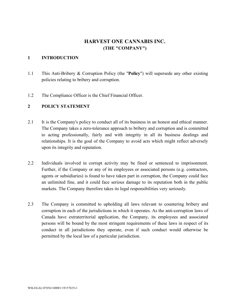# **HARVEST ONE CANNABIS INC. (THE "COMPANY")**

#### **1 INTRODUCTION**

- 1.1 This Anti-Bribery & Corruption Policy (the "**Policy**") will supersede any other existing policies relating to bribery and corruption.
- 1.2 The Compliance Officer is the Chief Financial Officer.

# **2 POLICY STATEMENT**

- 2.1 It is the Company's policy to conduct all of its business in an honest and ethical manner. The Company takes a zero-tolerance approach to bribery and corruption and is committed to acting professionally, fairly and with integrity in all its business dealings and relationships. It is the goal of the Company to avoid acts which might reflect adversely upon its integrity and reputation.
- 2.2 Individuals involved in corrupt activity may be fined or sentenced to imprisonment. Further, if the Company or any of its employees or associated persons (e.g. contractors, agents or subsidiaries) is found to have taken part in corruption, the Company could face an unlimited fine, and it could face serious damage to its reputation both in the public markets. The Company therefore takes its legal responsibilities very seriously.
- 2.3 The Company is committed to upholding all laws relevant to countering bribery and corruption in each of the jurisdictions in which it operates. As the anti-corruption laws of Canada have extraterritorial application, the Company, its employees and associated persons will be bound by the most stringent requirements of these laws in respect of its conduct in all jurisdictions they operate, even if such conduct would otherwise be permitted by the local law of a particular jurisdiction.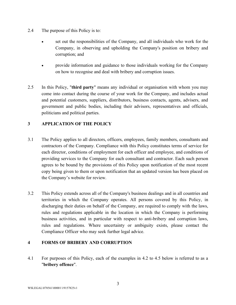- 2.4 The purpose of this Policy is to:
	- set out the responsibilities of the Company, and all individuals who work for the Company, in observing and upholding the Company's position on bribery and corruption; and
	- provide information and guidance to those individuals working for the Company on how to recognise and deal with bribery and corruption issues.
- 2.5 In this Policy, "**third party**" means any individual or organisation with whom you may come into contact during the course of your work for the Company, and includes actual and potential customers, suppliers, distributors, business contacts, agents, advisers, and government and public bodies, including their advisors, representatives and officials, politicians and political parties.

# **3 APPLICATION OF THE POLICY**

- 3.1 The Policy applies to all directors, officers, employees, family members, consultants and contractors of the Company. Compliance with this Policy constitutes terms of service for each director, conditions of employment for each officer and employee, and conditions of providing services to the Company for each consultant and contractor. Each such person agrees to be bound by the provisions of this Policy upon notification of the most recent copy being given to them or upon notification that an updated version has been placed on the Company's website for review.
- 3.2 This Policy extends across all of the Company's business dealings and in all countries and territories in which the Company operates. All persons covered by this Policy, in discharging their duties on behalf of the Company, are required to comply with the laws, rules and regulations applicable in the location in which the Company is performing business activities, and in particular with respect to anti-bribery and corruption laws, rules and regulations. Where uncertainty or ambiguity exists, please contact the Compliance Officer who may seek further legal advice.

# **4 FORMS OF BRIBERY AND CORRUPTION**

4.1 For purposes of this Policy, each of the examples in 4.2 to 4.5 below is referred to as a "**bribery offence**".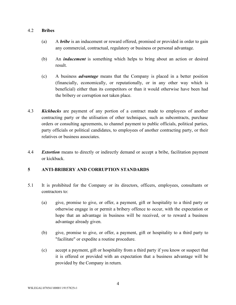#### 4.2 **Bribes**

- (a) A *bribe* is an inducement or reward offered, promised or provided in order to gain any commercial, contractual, regulatory or business or personal advantage.
- (b) An *inducement* is something which helps to bring about an action or desired result.
- (c) A business *advantage* means that the Company is placed in a better position (financially, economically, or reputationally, or in any other way which is beneficial) either than its competitors or than it would otherwise have been had the bribery or corruption not taken place.
- 4.3 *Kickbacks* are payment of any portion of a contract made to employees of another contracting party or the utilisation of other techniques, such as subcontracts, purchase orders or consulting agreements, to channel payment to public officials, political parties, party officials or political candidates, to employees of another contracting party, or their relatives or business associates.
- 4.4 *Extortion* means to directly or indirectly demand or accept a bribe, facilitation payment or kickback.

# **5 ANTI-BRIBERY AND CORRUPTION STANDARDS**

- 5.1 It is prohibited for the Company or its directors, officers, employees, consultants or contractors to:
	- (a) give, promise to give, or offer, a payment, gift or hospitality to a third party or otherwise engage in or permit a bribery offence to occur, with the expectation or hope that an advantage in business will be received, or to reward a business advantage already given.
	- (b) give, promise to give, or offer, a payment, gift or hospitality to a third party to "facilitate" or expedite a routine procedure.
	- (c) accept a payment, gift or hospitality from a third party if you know or suspect that it is offered or provided with an expectation that a business advantage will be provided by the Company in return.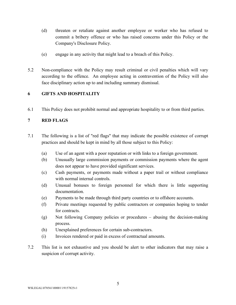- (d) threaten or retaliate against another employee or worker who has refused to commit a bribery offence or who has raised concerns under this Policy or the Company's Disclosure Policy.
- (e) engage in any activity that might lead to a breach of this Policy.
- 5.2 Non-compliance with the Policy may result criminal or civil penalties which will vary according to the offence. An employee acting in contravention of the Policy will also face disciplinary action up to and including summary dismissal.

# **6 GIFTS AND HOSPITALITY**

6.1 This Policy does not prohibit normal and appropriate hospitality to or from third parties.

# **7 RED FLAGS**

- 7.1 The following is a list of "red flags" that may indicate the possible existence of corrupt practices and should be kept in mind by all those subject to this Policy:
	- (a) Use of an agent with a poor reputation or with links to a foreign government.
	- (b) Unusually large commission payments or commission payments where the agent does not appear to have provided significant services.
	- (c) Cash payments, or payments made without a paper trail or without compliance with normal internal controls.
	- (d) Unusual bonuses to foreign personnel for which there is little supporting documentation.
	- (e) Payments to be made through third party countries or to offshore accounts.
	- (f) Private meetings requested by public contractors or companies hoping to tender for contracts.
	- (g) Not following Company policies or procedures abusing the decision-making process.
	- (h) Unexplained preferences for certain sub-contractors.
	- (i) Invoices rendered or paid in excess of contractual amounts.
- 7.2 This list is not exhaustive and you should be alert to other indicators that may raise a suspicion of corrupt activity.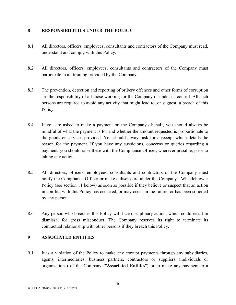#### **8 RESPONSIBILITIES UNDER THE POLICY**

- 8.1 All directors, officers, employees, consultants and contractors of the Company must read, understand and comply with this Policy.
- 8.2 All directors, officers, employees, consultants and contractors of the Company must participate in all training provided by the Company.
- 8.3 The prevention, detection and reporting of bribery offences and other forms of corruption are the responsibility of all those working for the Company or under its control. All such persons are required to avoid any activity that might lead to, or suggest, a breach of this Policy.
- 8.4 If you are asked to make a payment on the Company's behalf, you should always be mindful of what the payment is for and whether the amount requested is proportionate to the goods or services provided. You should always ask for a receipt which details the reason for the payment. If you have any suspicions, concerns or queries regarding a payment, you should raise these with the Compliance Officer, wherever possible, prior to taking any action.
- 8.5 All directors, officers, employees, consultants and contractors of the Company must notify the Compliance Officer or make a disclosure under the Company's Whistleblower Policy (see section 11 below) as soon as possible if they believe or suspect that an action in conflict with this Policy has occurred, or may occur in the future, or has been solicited by any person.
- 8.6 Any person who breaches this Policy will face disciplinary action, which could result in dismissal for gross misconduct. The Company reserves its right to terminate its contractual relationship with other persons if they breach this Policy.

# **9 ASSOCIATED ENTITIES**

9.1 It is a violation of the Policy to make any corrupt payments through any subsidiaries, agents, intermediaries, business partners, contractors or suppliers (individuals or organizations) of the Company ("**Associated Entities**") or to make any payment to a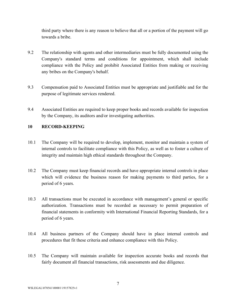third party where there is any reason to believe that all or a portion of the payment will go towards a bribe.

- 9.2 The relationship with agents and other intermediaries must be fully documented using the Company's standard terms and conditions for appointment, which shall include compliance with the Policy and prohibit Associated Entities from making or receiving any bribes on the Company's behalf.
- 9.3 Compensation paid to Associated Entities must be appropriate and justifiable and for the purpose of legitimate services rendered.
- 9.4 Associated Entities are required to keep proper books and records available for inspection by the Company, its auditors and/or investigating authorities.

# **10 RECORD-KEEPING**

- 10.1 The Company will be required to develop, implement, monitor and maintain a system of internal controls to facilitate compliance with this Policy, as well as to foster a culture of integrity and maintain high ethical standards throughout the Company.
- 10.2 The Company must keep financial records and have appropriate internal controls in place which will evidence the business reason for making payments to third parties, for a period of 6 years.
- 10.3 All transactions must be executed in accordance with management's general or specific authorization. Transactions must be recorded as necessary to permit preparation of financial statements in conformity with International Financial Reporting Standards, for a period of 6 years.
- 10.4 All business partners of the Company should have in place internal controls and procedures that fit these criteria and enhance compliance with this Policy.
- 10.5 The Company will maintain available for inspection accurate books and records that fairly document all financial transactions, risk assessments and due diligence.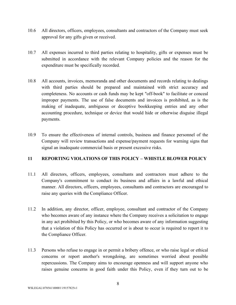- 10.6 All directors, officers, employees, consultants and contractors of the Company must seek approval for any gifts given or received.
- 10.7 All expenses incurred to third parties relating to hospitality, gifts or expenses must be submitted in accordance with the relevant Company policies and the reason for the expenditure must be specifically recorded.
- 10.8 All accounts, invoices, memoranda and other documents and records relating to dealings with third parties should be prepared and maintained with strict accuracy and completeness. No accounts or cash funds may be kept "off-book" to facilitate or conceal improper payments. The use of false documents and invoices is prohibited, as is the making of inadequate, ambiguous or deceptive bookkeeping entries and any other accounting procedure, technique or device that would hide or otherwise disguise illegal payments.
- 10.9 To ensure the effectiveness of internal controls, business and finance personnel of the Company will review transactions and expense/payment requests for warning signs that signal an inadequate commercial basis or present excessive risks.

# **11 REPORTING VIOLATIONS OF THIS POLICY – WHISTLE BLOWER POLICY**

- 11.1 All directors, officers, employees, consultants and contractors must adhere to the Company's commitment to conduct its business and affairs in a lawful and ethical manner. All directors, officers, employees, consultants and contractors are encouraged to raise any queries with the Compliance Officer.
- 11.2 In addition, any director, officer, employee, consultant and contractor of the Company who becomes aware of any instance where the Company receives a solicitation to engage in any act prohibited by this Policy, or who becomes aware of any information suggesting that a violation of this Policy has occurred or is about to occur is required to report it to the Compliance Officer.
- 11.3 Persons who refuse to engage in or permit a bribery offence, or who raise legal or ethical concerns or report another's wrongdoing, are sometimes worried about possible repercussions. The Company aims to encourage openness and will support anyone who raises genuine concerns in good faith under this Policy, even if they turn out to be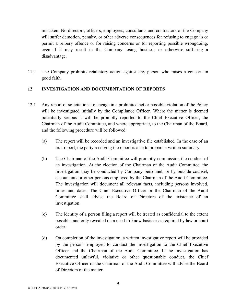mistaken. No directors, officers, employees, consultants and contractors of the Company will suffer demotion, penalty, or other adverse consequences for refusing to engage in or permit a bribery offence or for raising concerns or for reporting possible wrongdoing, even if it may result in the Company losing business or otherwise suffering a disadvantage.

11.4 The Company prohibits retaliatory action against any person who raises a concern in good faith.

# **12 INVESTIGATION AND DOCUMENTATION OF REPORTS**

- 12.1 Any report of solicitations to engage in a prohibited act or possible violation of the Policy will be investigated initially by the Compliance Officer. Where the matter is deemed potentially serious it will be promptly reported to the Chief Executive Officer, the Chairman of the Audit Committee, and where appropriate, to the Chairman of the Board, and the following procedure will be followed:
	- (a) The report will be recorded and an investigative file established. In the case of an oral report, the party receiving the report is also to prepare a written summary.
	- (b) The Chairman of the Audit Committee will promptly commission the conduct of an investigation. At the election of the Chairman of the Audit Committee, the investigation may be conducted by Company personnel, or by outside counsel, accountants or other persons employed by the Chairman of the Audit Committee. The investigation will document all relevant facts, including persons involved, times and dates. The Chief Executive Officer or the Chairman of the Audit Committee shall advise the Board of Directors of the existence of an investigation.
	- (c) The identity of a person filing a report will be treated as confidential to the extent possible, and only revealed on a need-to-know basis or as required by law or court order.
	- (d) On completion of the investigation, a written investigative report will be provided by the persons employed to conduct the investigation to the Chief Executive Officer and the Chairman of the Audit Committee. If the investigation has documented unlawful, violative or other questionable conduct, the Chief Executive Officer or the Chairman of the Audit Committee will advise the Board of Directors of the matter.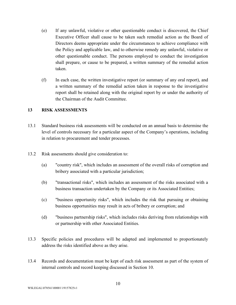- (e) If any unlawful, violative or other questionable conduct is discovered, the Chief Executive Officer shall cause to be taken such remedial action as the Board of Directors deems appropriate under the circumstances to achieve compliance with the Policy and applicable law, and to otherwise remedy any unlawful, violative or other questionable conduct. The persons employed to conduct the investigation shall prepare, or cause to be prepared, a written summary of the remedial action taken.
- (f) In each case, the written investigative report (or summary of any oral report), and a written summary of the remedial action taken in response to the investigative report shall be retained along with the original report by or under the authority of the Chairman of the Audit Committee.

#### **13 RISK ASSESSMENTS**

- 13.1 Standard business risk assessments will be conducted on an annual basis to determine the level of controls necessary for a particular aspect of the Company's operations, including in relation to procurement and tender processes.
- 13.2 Risk assessments should give consideration to:
	- (a) "country risk", which includes an assessment of the overall risks of corruption and bribery associated with a particular jurisdiction;
	- (b) "transactional risks", which includes an assessment of the risks associated with a business transaction undertaken by the Company or its Associated Entities;
	- (c) "business opportunity risks", which includes the risk that pursuing or obtaining business opportunities may result in acts of bribery or corruption; and
	- (d) "business partnership risks", which includes risks deriving from relationships with or partnership with other Associated Entities.
- 13.3 Specific policies and procedures will be adapted and implemented to proportionately address the risks identified above as they arise.
- 13.4 Records and documentation must be kept of each risk assessment as part of the system of internal controls and record keeping discussed in Section 10.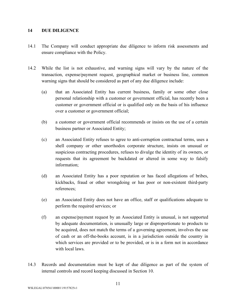#### **14 DUE DILIGENCE**

- 14.1 The Company will conduct appropriate due diligence to inform risk assessments and ensure compliance with the Policy.
- 14.2 While the list is not exhaustive, and warning signs will vary by the nature of the transaction, expense/payment request, geographical market or business line, common warning signs that should be considered as part of any due diligence include:
	- (a) that an Associated Entity has current business, family or some other close personal relationship with a customer or government official, has recently been a customer or government official or is qualified only on the basis of his influence over a customer or government official;
	- (b) a customer or government official recommends or insists on the use of a certain business partner or Associated Entity;
	- (c) an Associated Entity refuses to agree to anti-corruption contractual terms, uses a shell company or other unorthodox corporate structure, insists on unusual or suspicious contracting procedures, refuses to divulge the identity of its owners, or requests that its agreement be backdated or altered in some way to falsify information;
	- (d) an Associated Entity has a poor reputation or has faced allegations of bribes, kickbacks, fraud or other wrongdoing or has poor or non-existent third-party references;
	- (e) an Associated Entity does not have an office, staff or qualifications adequate to perform the required services; or
	- (f) an expense/payment request by an Associated Entity is unusual, is not supported by adequate documentation, is unusually large or disproportionate to products to be acquired, does not match the terms of a governing agreement, involves the use of cash or an off-the-books account, is in a jurisdiction outside the country in which services are provided or to be provided, or is in a form not in accordance with local laws.
- 14.3 Records and documentation must be kept of due diligence as part of the system of internal controls and record keeping discussed in Section 10.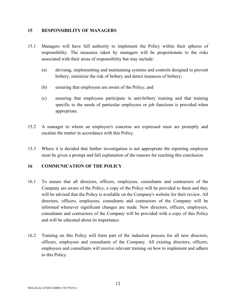#### **15 RESPONSIBILITY OF MANAGERS**

- 15.1 Managers will have full authority to implement the Policy within their spheres of responsibility. The measures taken by managers will be proportionate to the risks associated with their areas of responsibility but may include:
	- (a) devising, implementing and maintaining systems and controls designed to prevent bribery, minimize the risk of bribery and detect instances of bribery;
	- (b) ensuring that employees are aware of the Policy; and
	- (c) ensuring that employees participate in anti-bribery training and that training specific to the needs of particular employees or job functions is provided when appropriate.
- 15.2 A manager to whom an employee's concerns are expressed must act promptly and escalate the matter in accordance with this Policy.
- 15.3 Where it is decided that further investigation is not appropriate the reporting employee must be given a prompt and full explanation of the reasons for reaching this conclusion.

# **16 COMMUNICATION OF THE POLICY**

- 16.1 To ensure that all directors, officers, employees, consultants and contractors of the Company are aware of the Policy, a copy of the Policy will be provided to them and they will be advised that the Policy is available on the Company's website for their review. All directors, officers, employees, consultants and contractors of the Company will be informed whenever significant changes are made. New directors, officers, employees, consultants and contractors of the Company will be provided with a copy of this Policy and will be educated about its importance.
- 16.2 Training on this Policy will form part of the induction process for all new directors, officers, employees and consultants of the Company. All existing directors, officers, employees and consultants will receive relevant training on how to implement and adhere to this Policy.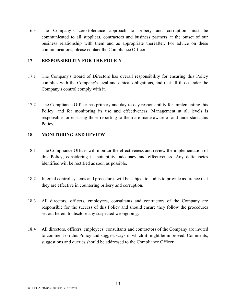16.3 The Company's zero-tolerance approach to bribery and corruption must be communicated to all suppliers, contractors and business partners at the outset of our business relationship with them and as appropriate thereafter. For advice on these communications, please contact the Compliance Officer.

#### **17 RESPONSIBILITY FOR THE POLICY**

- 17.1 The Company's Board of Directors has overall responsibility for ensuring this Policy complies with the Company's legal and ethical obligations, and that all those under the Company's control comply with it.
- 17.2 The Compliance Officer has primary and day-to-day responsibility for implementing this Policy, and for monitoring its use and effectiveness. Management at all levels is responsible for ensuring those reporting to them are made aware of and understand this Policy.

#### **18 MONITORING AND REVIEW**

- 18.1 The Compliance Officer will monitor the effectiveness and review the implementation of this Policy, considering its suitability, adequacy and effectiveness. Any deficiencies identified will be rectified as soon as possible.
- 18.2 Internal control systems and procedures will be subject to audits to provide assurance that they are effective in countering bribery and corruption.
- 18.3 All directors, officers, employees, consultants and contractors of the Company are responsible for the success of this Policy and should ensure they follow the procedures set out herein to disclose any suspected wrongdoing.
- 18.4 All directors, officers, employees, consultants and contractors of the Company are invited to comment on this Policy and suggest ways in which it might be improved. Comments, suggestions and queries should be addressed to the Compliance Officer.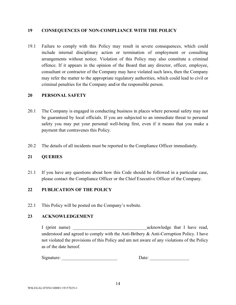#### **19 CONSEQUENCES OF NON-COMPLIANCE WITH THE POLICY**

19.1 Failure to comply with this Policy may result in severe consequences, which could include internal disciplinary action or termination of employment or consulting arrangements without notice. Violation of this Policy may also constitute a criminal offence. If it appears in the opinion of the Board that any director, officer, employee, consultant or contractor of the Company may have violated such laws, then the Company may refer the matter to the appropriate regulatory authorities, which could lead to civil or criminal penalties for the Company and/or the responsible person.

# **20 PERSONAL SAFETY**

- 20.1 The Company is engaged in conducting business in places where personal safety may not be guaranteed by local officials. If you are subjected to an immediate threat to personal safety you may put your personal well-being first, even if it means that you make a payment that contravenes this Policy.
- 20.2 The details of all incidents must be reported to the Compliance Officer immediately.

#### **21 QUERIES**

21.1 If you have any questions about how this Code should be followed in a particular case, please contact the Compliance Officer or the Chief Executive Officer of the Company.

#### **22 PUBLICATION OF THE POLICY**

22.1 This Policy will be posted on the Company's website.

# **23 ACKNOWLEDGEMENT**

I (print name) acknowledge that I have read, understood and agreed to comply with the Anti-Bribery & Anti-Corruption Policy. I have not violated the provisions of this Policy and am not aware of any violations of the Policy as of the date hereof.

Signature: \_\_\_\_\_\_\_\_\_\_\_\_\_\_\_\_\_\_\_\_\_\_\_\_ Date: \_\_\_\_\_\_\_\_\_\_\_\_\_\_\_\_\_

| Date: |
|-------|
|-------|